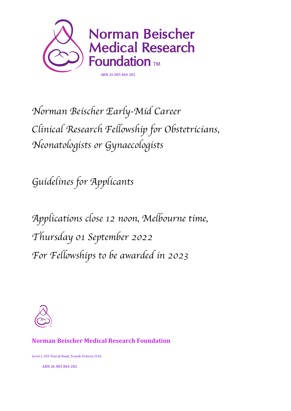

*Norman Beischer Early-Mid Career Clinical Research Fellowship for Obstetricians, Neonatologists or Gynaecologists*

*Guidelines for Applicants*

*Applications close 12 noon, Melbourne time, Thursday 01 September 2022 For Fellowships to be awarded in 2023*



#### **Norman Beischer Medical Research Foundation**

Level 1, 459 Toorak Road, Toorak Victoria 3142

ABN 26 005 864 282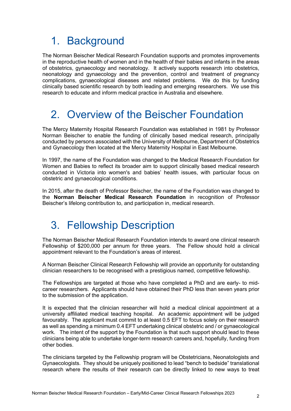## 1. Background

The Norman Beischer Medical Research Foundation supports and promotes improvements in the reproductive health of women and in the health of their babies and infants in the areas of obstetrics, gynaecology and neonatology. It actively supports research into obstetrics, neonatology and gynaecology and the prevention, control and treatment of pregnancy complications, gynaecological diseases and related problems. We do this by funding clinically based scientific research by both leading and emerging researchers. We use this research to educate and inform medical practice in Australia and elsewhere.

# 2. Overview of the Beischer Foundation

The Mercy Maternity Hospital Research Foundation was established in 1981 by Professor Norman Beischer to enable the funding of clinically based medical research, principally conducted by persons associated with the University of Melbourne, Department of Obstetrics and Gynaecology then located at the Mercy Maternity Hospital in East Melbourne.

In 1997, the name of the Foundation was changed to the Medical Research Foundation for Women and Babies to reflect its broader aim to support clinically based medical research conducted in Victoria into women's and babies' health issues, with particular focus on obstetric and gynaecological conditions.

In 2015, after the death of Professor Beischer, the name of the Foundation was changed to the **Norman Beischer Medical Research Foundation** in recognition of Professor Beischer's lifelong contribution to, and participation in, medical research.

### 3. Fellowship Description

The Norman Beischer Medical Research Foundation intends to award one clinical research Fellowship of \$200,000 per annum for three years. The Fellow should hold a clinical appointment relevant to the Foundation's areas of interest.

A Norman Beischer Clinical Research Fellowship will provide an opportunity for outstanding clinician researchers to be recognised with a prestigious named, competitive fellowship.

The Fellowships are targeted at those who have completed a PhD and are early- to midcareer researchers. Applicants should have obtained their PhD less than seven years prior to the submission of the application.

It is expected that the clinician researcher will hold a medical clinical appointment at a university affiliated medical teaching hospital. An academic appointment will be judged favourably. The applicant must commit to at least 0.5 EFT to focus solely on their research as well as spending a minimum 0.4 EFT undertaking clinical obstetric and / or gynaecological work. The intent of the support by the Foundation is that such support should lead to these clinicians being able to undertake longer-term research careers and, hopefully, funding from other bodies.

The clinicians targeted by the Fellowship program will be Obstetricians, Neonatologists and Gynaecologists. They should be uniquely positioned to lead "bench to bedside" translational research where the results of their research can be directly linked to new ways to treat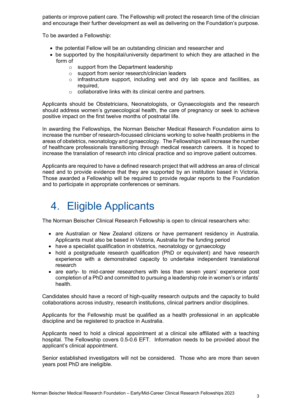patients or improve patient care. The Fellowship will protect the research time of the clinician and encourage their further development as well as delivering on the Foundation's purpose.

To be awarded a Fellowship:

- the potential Fellow will be an outstanding clinician and researcher and
- be supported by the hospital/university department to which they are attached in the form of
	- o support from the Department leadership
	- o support from senior research/clinician leaders
	- $\circ$  infrastructure support, including wet and dry lab space and facilities, as required,
	- o collaborative links with its clinical centre and partners.

Applicants should be Obstetricians, Neonatologists, or Gynaecologists and the research should address women's gynaecological health, the care of pregnancy or seek to achieve positive impact on the first twelve months of postnatal life.

In awarding the Fellowships, the Norman Beischer Medical Research Foundation aims to increase the number of research-focussed clinicians working to solve health problems in the areas of obstetrics, neonatology and gynaecology. The Fellowships will increase the number of healthcare professionals transitioning through medical research careers. It is hoped to increase the translation of research into clinical practice and so improve patient outcomes.

Applicants are required to have a defined research project that will address an area of clinical need and to provide evidence that they are supported by an institution based in Victoria. Those awarded a Fellowship will be required to provide regular reports to the Foundation and to participate in appropriate conferences or seminars.

# 4. Eligible Applicants

The Norman Beischer Clinical Research Fellowship is open to clinical researchers who:

- are Australian or New Zealand citizens or have permanent residency in Australia. Applicants must also be based in Victoria, Australia for the funding period
- have a specialist qualification in obstetrics, neonatology or gynaecology
- hold a postgraduate research qualification (PhD or equivalent) and have research experience with a demonstrated capacity to undertake independent translational research
- are early- to mid-career researchers with less than seven years' experience post completion of a PhD and committed to pursuing a leadership role in women's or infants' health.

Candidates should have a record of high-quality research outputs and the capacity to build collaborations across industry, research institutions, clinical partners and/or disciplines.

Applicants for the Fellowship must be qualified as a health professional in an applicable discipline and be registered to practice in Australia.

Applicants need to hold a clinical appointment at a clinical site affiliated with a teaching hospital. The Fellowship covers 0.5-0.6 EFT. Information needs to be provided about the applicant's clinical appointment.

Senior established investigators will not be considered. Those who are more than seven years post PhD are ineligible.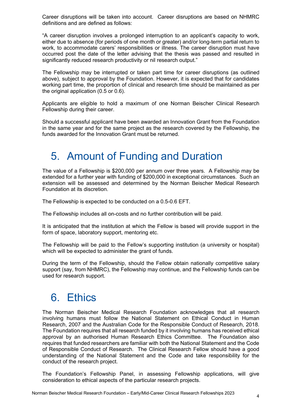Career disruptions will be taken into account. Career disruptions are based on NHMRC definitions and are defined as follows:

"A career disruption involves a prolonged interruption to an applicant's capacity to work, either due to absence (for periods of one month or greater) and/or long-term partial return to work, to accommodate carers' responsibilities or illness. The career disruption must have occurred post the date of the letter advising that the thesis was passed and resulted in significantly reduced research productivity or nil research output."

The Fellowship may be interrupted or taken part time for career disruptions (as outlined above), subject to approval by the Foundation. However, it is expected that for candidates working part time, the proportion of clinical and research time should be maintained as per the original application (0.5 or 0.6).

Applicants are eligible to hold a maximum of one Norman Beischer Clinical Research Fellowship during their career.

Should a successful applicant have been awarded an Innovation Grant from the Foundation in the same year and for the same project as the research covered by the Fellowship, the funds awarded for the Innovation Grant must be returned.

#### 5. Amount of Funding and Duration

The value of a Fellowship is \$200,000 per annum over three years. A Fellowship may be extended for a further year with funding of \$200,000 in exceptional circumstances. Such an extension will be assessed and determined by the Norman Beischer Medical Research Foundation at its discretion.

The Fellowship is expected to be conducted on a 0.5-0.6 EFT.

The Fellowship includes all on-costs and no further contribution will be paid.

It is anticipated that the institution at which the Fellow is based will provide support in the form of space, laboratory support, mentoring etc.

The Fellowship will be paid to the Fellow's supporting institution (a university or hospital) which will be expected to administer the grant of funds.

During the term of the Fellowship, should the Fellow obtain nationally competitive salary support (say, from NHMRC), the Fellowship may continue, and the Fellowship funds can be used for research support.

#### 6. Ethics

The Norman Beischer Medical Research Foundation acknowledges that all research involving humans must follow the National Statement on Ethical Conduct in Human Research, 2007 and the Australian Code for the Responsible Conduct of Research, 2018. The Foundation requires that all research funded by it involving humans has received ethical approval by an authorised Human Research Ethics Committee. The Foundation also requires that funded researchers are familiar with both the National Statement and the Code of Responsible Conduct of Research. The Clinical Research Fellow should have a good understanding of the National Statement and the Code and take responsibility for the conduct of the research project.

The Foundation's Fellowship Panel, in assessing Fellowship applications, will give consideration to ethical aspects of the particular research projects.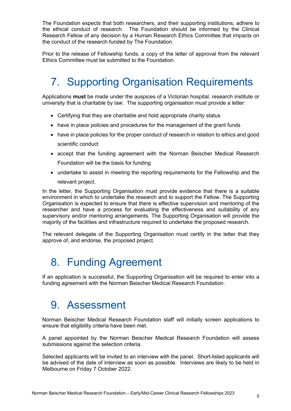The Foundation expects that both researchers, and their supporting institutions, adhere to the ethical conduct of research. The Foundation should be informed by the Clinical Research Fellow of any decision by a Human Research Ethics Committee that impacts on the conduct of the research funded by The Foundation.

Prior to the release of Fellowship funds, a copy of the letter of approval from the relevant Ethics Committee must be submitted to the Foundation.

## 7. Supporting Organisation Requirements

Applications **must** be made under the auspices of a Victorian hospital, research institute or university that is charitable by law. The supporting organisation must provide a letter:

- Certifying that they are charitable and hold appropriate charity status
- have in place policies and procedures for the management of the grant funds
- have in place policies for the proper conduct of research in relation to ethics and good scientific conduct
- accept that the funding agreement with the Norman Beischer Medical Research Foundation will be the basis for funding
- undertake to assist in meeting the reporting requirements for the Fellowship and the relevant project.

In the letter, the Supporting Organisation must provide evidence that there is a suitable environment in which to undertake the research and to support the Fellow. The Supporting Organisation is expected to ensure that there is effective supervision and mentoring of the researcher and have a process for evaluating the effectiveness and suitability of any supervisory and/or mentoring arrangements. The Supporting Organisation will provide the majority of the facilities and infrastructure required to undertake the proposed research.

The relevant delegate of the Supporting Organisation must certify in the letter that they approve of, and endorse, the proposed project.

### 8. Funding Agreement

If an application is successful, the Supporting Organisation will be required to enter into a funding agreement with the Norman Beischer Medical Research Foundation.

#### 9. Assessment

Norman Beischer Medical Research Foundation staff will initially screen applications to ensure that eligibility criteria have been met.

A panel appointed by the Norman Beischer Medical Research Foundation will assess submissions against the selection criteria.

Selected applicants will be invited to an interview with the panel. Short-listed applicants will be advised of the date of interview as soon as possible. Interviews are likely to be held in Melbourne on Friday 7 October 2022.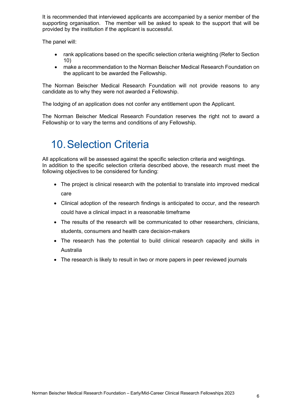It is recommended that interviewed applicants are accompanied by a senior member of the supporting organisation. The member will be asked to speak to the support that will be provided by the institution if the applicant is successful.

The panel will:

- rank applications based on the specific selection criteria weighting (Refer to Section 10)
- make a recommendation to the Norman Beischer Medical Research Foundation on the applicant to be awarded the Fellowship.

The Norman Beischer Medical Research Foundation will not provide reasons to any candidate as to why they were not awarded a Fellowship.

The lodging of an application does not confer any entitlement upon the Applicant.

The Norman Beischer Medical Research Foundation reserves the right not to award a Fellowship or to vary the terms and conditions of any Fellowship.

## 10.Selection Criteria

All applications will be assessed against the specific selection criteria and weightings. In addition to the specific selection criteria described above, the research must meet the following objectives to be considered for funding:

- The project is clinical research with the potential to translate into improved medical care
- Clinical adoption of the research findings is anticipated to occur, and the research could have a clinical impact in a reasonable timeframe
- The results of the research will be communicated to other researchers, clinicians, students, consumers and health care decision-makers
- The research has the potential to build clinical research capacity and skills in Australia
- The research is likely to result in two or more papers in peer reviewed journals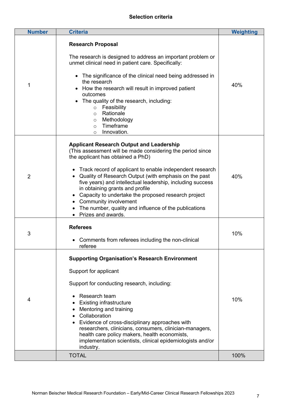#### **Selection criteria**

| <b>Number</b>  | <b>Criteria</b>                                                                                                                                                                                                                                                                                                                                                                                                                                                                                                                                | <b>Weighting</b> |
|----------------|------------------------------------------------------------------------------------------------------------------------------------------------------------------------------------------------------------------------------------------------------------------------------------------------------------------------------------------------------------------------------------------------------------------------------------------------------------------------------------------------------------------------------------------------|------------------|
| 1              | <b>Research Proposal</b><br>The research is designed to address an important problem or<br>unmet clinical need in patient care. Specifically:<br>The significance of the clinical need being addressed in<br>$\bullet$<br>the research<br>How the research will result in improved patient<br>outcomes<br>The quality of the research, including:<br>Feasibility<br>$\circ$<br>Rationale<br>$\circ$<br>Methodology<br>$\circ$<br>Timeframe<br>$\circ$<br>Innovation.<br>$\circ$                                                                | 40%              |
| $\overline{2}$ | <b>Applicant Research Output and Leadership</b><br>(This assessment will be made considering the period since<br>the applicant has obtained a PhD)<br>Track record of applicant to enable independent research<br>Quality of Research Output (with emphasis on the past<br>five years) and intellectual leadership, including success<br>in obtaining grants and profile<br>Capacity to undertake the proposed research project<br><b>Community involvement</b><br>The number, quality and influence of the publications<br>Prizes and awards. | 40%              |
| 3              | <b>Referees</b><br>Comments from referees including the non-clinical<br>referee                                                                                                                                                                                                                                                                                                                                                                                                                                                                | 10%              |
| 4              | <b>Supporting Organisation's Research Environment</b><br>Support for applicant<br>Support for conducting research, including:<br>Research team<br><b>Existing infrastructure</b><br>Mentoring and training<br>Collaboration<br>Evidence of cross-disciplinary approaches with<br>researchers, clinicians, consumers, clinician-managers,<br>health care policy makers, health economists,<br>implementation scientists, clinical epidemiologists and/or<br>industry.                                                                           | 10%              |
|                | <b>TOTAL</b>                                                                                                                                                                                                                                                                                                                                                                                                                                                                                                                                   | 100%             |